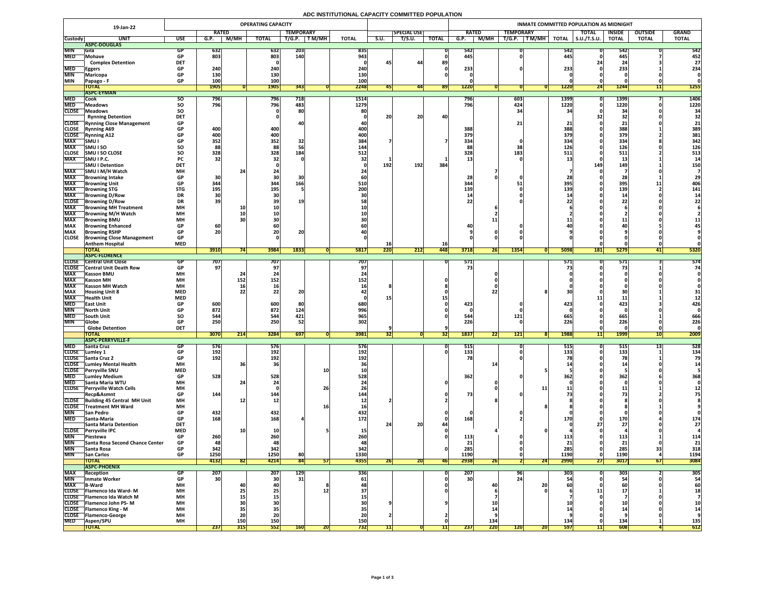## **ADC INSTITUTIONAL CAPACITY COMMITTED POPULATION**

|                              | 19-Jan-22                                                    | <b>OPERATING CAPACITY</b> |                   |                  |                 |                  |            |              |      | <b>INMATE COMMITTED POPULATION AS MIDNIGHT</b> |                  |                 |                 |                   |                                                          |                   |                     |               |                  |              |  |
|------------------------------|--------------------------------------------------------------|---------------------------|-------------------|------------------|-----------------|------------------|------------|--------------|------|------------------------------------------------|------------------|-----------------|-----------------|-------------------|----------------------------------------------------------|-------------------|---------------------|---------------|------------------|--------------|--|
|                              |                                                              |                           | <b>RATED</b>      |                  |                 | <b>TEMPORARY</b> |            |              |      | <b>SPECIAL USE</b>                             |                  | <b>RATED</b>    |                 | <b>TEMPORARY</b>  |                                                          |                   | <b>TOTAL</b>        | <b>INSIDE</b> | <b>OUTSIDE</b>   | <b>GRAND</b> |  |
| <b>Custody</b>               | <b>UNIT</b>                                                  | <b>USE</b>                | G.P.              | <b>M/MH</b>      | <b>TOTAL</b>    | T/G.P.           | T M/MH     | <b>TOTAL</b> | S.U. | T/S.U.                                         | <b>TOTAL</b>     | G.P.            | <b>M/MH</b>     | T/G.P.            | $\overline{\mathsf{T}\mathsf{M}/\mathsf{M}\mathsf{H}}$ , | <b>TOTAL</b>      | $\vert$ S.U./T.S.U. | <b>TOTAL</b>  | <b>TOTAL</b>     | <b>TOTAL</b> |  |
|                              | ASPC-DOUGLAS                                                 |                           |                   |                  |                 |                  |            |              |      |                                                |                  |                 |                 |                   |                                                          |                   |                     |               |                  |              |  |
| <b>MIN</b><br><b>MED</b>     | <b>Sila</b><br>Mohave                                        | GP.<br><b>GP</b>          | <b>632</b><br>803 |                  | 632<br>803      | 203<br>140       |            | 835<br>943   |      |                                                |                  | 542<br>445      |                 |                   |                                                          | 542<br>445        |                     | 542<br>445    |                  | 542<br>452   |  |
|                              | <b>Complex Detention</b>                                     | <b>DET</b>                |                   |                  |                 |                  |            |              |      | 44                                             | 89               |                 |                 |                   |                                                          |                   |                     |               |                  | 27           |  |
| <b>MED</b>                   | <b>Eggers</b>                                                | <b>GP</b>                 | 240               |                  | 240             |                  |            | 240          |      |                                                |                  | 233             |                 |                   |                                                          | 233               |                     | 233           |                  | 234          |  |
| <b>MIN</b>                   | Maricopa                                                     | <b>GP</b>                 | 130               |                  | 130             |                  |            | 130          |      |                                                |                  |                 |                 |                   |                                                          |                   |                     |               |                  |              |  |
| <b>MIN</b>                   | Papago - F                                                   | <b>GP</b>                 | <b>100</b>        |                  | 100             |                  |            | 100          |      |                                                |                  |                 |                 |                   |                                                          |                   |                     |               |                  |              |  |
|                              | <b>TOTAL</b><br><b>ASPC-EYMAN</b>                            |                           | <b>1905</b>       |                  | <b>1905</b>     | 343              |            | 2248         |      | 441                                            | <b>891</b>       | 1220            |                 |                   |                                                          | <b>1220</b>       | 24                  | <b>1244</b>   |                  | <b>1255</b>  |  |
| <b>MED</b>                   | Cook                                                         | SO.                       | 796               |                  | <b>796</b>      | 718              |            | 1514         |      |                                                |                  | 796             |                 | $\vert 603 \vert$ |                                                          | 1399              |                     | <b>1399</b>   |                  | 1406         |  |
| <b>MED</b>                   | <b>Meadows</b>                                               | <b>SO</b>                 | 796               |                  | 796             | 483              |            | 1279         |      |                                                |                  | 796             |                 | 424               |                                                          | 1220              |                     | 1220          |                  | 1220         |  |
| <b>CLOSE</b>                 | Meadows                                                      | SO                        |                   |                  |                 | 80               |            | 80           |      |                                                |                  |                 |                 | 34                |                                                          | $\mathbf{A}$      |                     | $\mathbf{R}$  |                  | 34           |  |
|                              | <b>Rynning Detention</b>                                     | <b>DET</b>                |                   |                  |                 |                  |            |              | 20   | 20                                             | 40               |                 |                 |                   |                                                          |                   |                     | 32            |                  | 32           |  |
|                              | <b>CLOSE</b> Rynning Close Management                        | <b>GP</b>                 |                   |                  |                 |                  |            |              |      |                                                |                  |                 |                 | 21 <sub>1</sub>   |                                                          |                   |                     |               |                  | 21           |  |
| <b>CLOSE</b><br><b>CLOSE</b> | <b>Rynning A69</b><br><b>Rynning A12</b>                     | <b>GP</b><br><b>GP</b>    | 400<br>400        |                  | 400<br>400      |                  |            | 400<br>400   |      |                                                |                  | 388<br>379      |                 |                   |                                                          | 388<br><b>379</b> |                     | 388<br>379    |                  | 389<br>381   |  |
| <b>MAX</b>                   | SMU                                                          | <b>GP</b>                 | 352               |                  | 352             | 32               |            | 384          |      |                                                |                  | 334             |                 |                   |                                                          | 334               |                     | 334           |                  | 342          |  |
| <b>MAX</b>                   | <b>SMUISO</b>                                                | SO                        | 88                |                  | 88              |                  |            | 144          |      |                                                |                  | 88              |                 | 38                |                                                          | 126               |                     | 126           |                  | 126          |  |
| <b>CLOSE</b>                 | <b>SMU I SO CLOSE</b>                                        | <b>SO</b>                 | 328               |                  | 328             | 184              |            | 512          |      |                                                |                  | 328             |                 | 183               |                                                          | 511               |                     | 511           |                  | 513          |  |
| <b>MAX</b>                   | SMU I P.C.                                                   | <b>PC</b>                 | 32                |                  |                 |                  |            |              |      |                                                |                  |                 |                 |                   |                                                          |                   |                     | ᅩJ            |                  |              |  |
| <b>MAX</b>                   | <b>SMU I Detention</b><br> SMU I M/H Watch                   | <b>DET</b><br><b>MH</b>   |                   |                  |                 |                  |            |              | 192  | 192                                            | 384              |                 |                 |                   |                                                          |                   | <b>149</b>          | 149           |                  | <b>150</b>   |  |
| <b>MAX</b>                   | <b>Browning Intake</b>                                       | <b>GP</b>                 | 30                |                  |                 |                  |            |              |      |                                                |                  | 28              |                 |                   |                                                          |                   |                     |               |                  |              |  |
| <b>MAX</b>                   | <b>Browning Unit</b>                                         | <b>GP</b>                 | 344               |                  | 344             | 166              |            | 510          |      |                                                |                  | 344             |                 |                   |                                                          | 395               |                     | 395           |                  | 406          |  |
| <b>MAX</b>                   | <b>Browning STG</b>                                          | <b>STG</b>                | <b>195</b>        |                  | 195             |                  |            | 200          |      |                                                |                  | 139             |                 |                   |                                                          | 139               |                     | 139           |                  | 141          |  |
| <b>MAX</b>                   | <b>Browning D/Row</b>                                        | <b>DR</b>                 |                   |                  |                 |                  |            |              |      |                                                |                  |                 |                 |                   |                                                          |                   |                     | <b>1</b>      |                  |              |  |
| <b>CLOSE</b>                 | <b>Browning D/Row</b>                                        | <b>DR</b>                 | 39                |                  |                 | 19               |            |              |      |                                                |                  | 22              |                 |                   |                                                          |                   |                     |               |                  |              |  |
| <b>MAX</b><br><b>MAX</b>     | <b>Browning MH Treatment</b><br><b>TBrowning M/H Watch</b>   | <b>MH</b><br><b>MH</b>    |                   | <b>10</b>        |                 |                  |            |              |      |                                                |                  |                 |                 |                   |                                                          |                   |                     |               |                  |              |  |
| <b>MAX</b>                   | <b>IBrowning BMU</b>                                         | <b>MH</b>                 |                   |                  |                 |                  |            |              |      |                                                |                  |                 |                 |                   |                                                          |                   |                     | ---           |                  |              |  |
| <b>MAX</b>                   | <b>Browning Enhanced</b>                                     | <b>GP</b>                 | 60 <sub>1</sub>   |                  |                 |                  |            |              |      |                                                |                  | 40              |                 |                   |                                                          |                   |                     |               |                  |              |  |
| <b>MAX</b>                   | <b>Browning RSHP</b>                                         | <b>GP</b>                 | 20                |                  | ZU              | 20               |            |              |      |                                                |                  |                 |                 |                   |                                                          |                   |                     |               |                  |              |  |
| <b>CLOSE</b>                 | <b>Browning Close Management</b>                             | <b>GP</b>                 |                   |                  |                 |                  |            |              |      |                                                |                  |                 |                 |                   |                                                          |                   |                     |               |                  |              |  |
|                              | <b>Anthem Hospital</b><br><b>TOTAL</b>                       | <b>MED</b>                | 3910              |                  | 3984            | 1833             |            | <b>5817</b>  | 220  | 212                                            | <b>16</b><br>448 | 3718            | 26 <sub>1</sub> | <b>1354</b>       |                                                          | 5098              | <b>181</b>          | 5279          |                  | 5320         |  |
|                              | <b>TASPC-FLORENCE</b>                                        |                           |                   |                  |                 |                  |            |              |      |                                                |                  |                 |                 |                   |                                                          |                   |                     |               | 41               |              |  |
| <b>CLOSE</b>                 | <b>Central Unit Close</b>                                    |                           | 707               |                  | 707             |                  |            | 707          |      |                                                |                  | 571             |                 |                   |                                                          | 571               |                     | 571           |                  | 574          |  |
|                              | <b>CLOSE</b> Central Unit Death Row                          |                           | 97 <sub>1</sub>   |                  |                 |                  |            |              |      |                                                |                  | 73              |                 |                   |                                                          |                   |                     |               |                  | 74           |  |
| <b>MAX</b>                   | <b>Kasson BMU</b>                                            | <b>MH</b>                 |                   |                  |                 |                  |            |              |      |                                                |                  |                 |                 |                   |                                                          |                   |                     |               |                  |              |  |
| <b>MAX</b><br><b>MAX</b>     | <b>Kasson MH</b><br><b>Kasson MH Watch</b>                   | <b>MH</b><br><b>MH</b>    |                   | 152<br><b>16</b> | 152             |                  |            | 152          |      |                                                |                  |                 |                 |                   |                                                          |                   |                     |               |                  |              |  |
| <b>MAX</b>                   | <b>Housing Unit 8</b>                                        | <b>MED</b>                |                   |                  |                 | 96               |            |              |      |                                                |                  |                 |                 |                   |                                                          |                   |                     |               |                  | 31           |  |
| <b>MAX</b>                   | <b>Health Unit</b>                                           | <b>MED</b>                |                   |                  |                 |                  |            |              |      |                                                |                  |                 |                 |                   |                                                          |                   |                     |               |                  |              |  |
| <b>MED</b>                   | <b>East Unit</b>                                             | <b>GP</b>                 | 600               |                  | 600             | 80               |            | 680          |      |                                                |                  | 423             |                 |                   |                                                          | 423               |                     | 423           |                  | 426          |  |
| <b>MIN</b>                   | North Unit                                                   |                           | 872               |                  | 872             | 124              |            | 996          |      |                                                |                  |                 |                 |                   |                                                          |                   |                     |               |                  |              |  |
| <b>MED</b><br><b>MIN</b>     | <b>South Unit</b>                                            | <b>SO</b>                 | 544<br>250        |                  | 544<br>250      | 421<br>52        |            | 965<br>302   |      |                                                |                  | 544<br>226      |                 | 121               |                                                          | 665<br>226        |                     | 665<br>226    |                  | 666<br>226   |  |
|                              | <b>Globe</b><br><b>Globe Detention</b>                       | <b>DET</b>                |                   |                  |                 |                  |            |              |      |                                                |                  |                 |                 |                   |                                                          |                   |                     |               |                  |              |  |
|                              | <b>TOTAL</b>                                                 |                           | 3070              | 214              | 3284            | 697              |            | 3981         | 32   |                                                | [32]             | 1837            | Č<br> 22        | 121               |                                                          | 1988              | 11                  | <b>1999</b>   | $1^{\sim}$<br>TO | 2009         |  |
|                              | <b>ASPC-PERRYVILLE-F</b>                                     |                           |                   |                  |                 |                  |            |              |      |                                                |                  |                 |                 |                   |                                                          |                   |                     |               |                  |              |  |
| <b>MED</b>                   | <b>Santa Cruz</b>                                            | GP                        | <b>576</b>        |                  | 576             |                  |            | <b>576</b>   |      |                                                |                  | 515             |                 |                   |                                                          | <b>515</b>        |                     | 515           |                  | 528          |  |
| <b>CLOSE</b>                 | Lumley 1<br>CLOSE Santa Cruz 2                               | <b>GP</b>                 | 192<br>192        |                  | 192<br>192      |                  |            | 192<br>192   |      |                                                |                  | 133<br>78       |                 |                   |                                                          | 133               |                     | <b>133</b>    |                  | 134          |  |
| <b>CLOSE</b>                 | Lumley Mental Health                                         | <b>MH</b>                 |                   |                  |                 |                  |            |              |      |                                                |                  |                 |                 |                   |                                                          |                   |                     |               |                  |              |  |
| <b>CLOSE</b>                 | <b>Perryville SNU</b>                                        | <b>MED</b>                |                   |                  |                 |                  | <b>10</b>  |              |      |                                                |                  |                 |                 |                   |                                                          |                   |                     |               |                  |              |  |
| <b>MED</b>                   | <b>Lumley Medium</b>                                         | <b>GP</b>                 | 528               |                  | 528             |                  |            | 528          |      |                                                |                  | 362             |                 |                   |                                                          | 362               |                     | 362           |                  | 368          |  |
| <b>MED</b>                   | Santa Maria WTU                                              | <b>MH</b>                 |                   |                  |                 |                  |            |              |      |                                                |                  |                 |                 |                   |                                                          |                   |                     |               |                  |              |  |
| <b>CLOSE</b>                 | <b>Perryville Watch Cells</b><br>Recp&Asmnt                  | <b>MH</b><br><b>GP</b>    | 144               |                  | 144             |                  | 26         | 144          |      |                                                |                  | 73              |                 |                   |                                                          |                   |                     | ---           |                  |              |  |
|                              | CLOSE Building 45 Central MH Unit                            | <b>MH</b>                 |                   |                  | TV.             |                  |            |              |      |                                                |                  |                 |                 |                   |                                                          |                   |                     |               |                  |              |  |
| <b>CLOSE</b>                 | Treatment MH Ward                                            | <b>MH</b>                 |                   |                  |                 |                  |            | <b>16</b>    |      |                                                |                  |                 |                 |                   |                                                          |                   |                     |               |                  |              |  |
| <b>MIN</b>                   | <b>San Pedro</b>                                             | <b>GP</b>                 | 432               |                  | 432             |                  |            | 432          |      |                                                |                  |                 |                 |                   |                                                          |                   |                     |               |                  |              |  |
| <b>MED</b>                   | <b>Santa-Maria</b>                                           | <b>GP</b>                 | 168               |                  | 168             |                  |            | 172          |      | ിറ                                             |                  | 168             |                 |                   |                                                          |                   |                     | <b>170</b>    |                  | 174          |  |
| <b>CLOSE</b>                 | Santa Maria Detention<br><b>Perryville IPC</b>               | <b>DET</b><br><b>MED</b>  |                   |                  |                 |                  |            |              |      | ZU.                                            |                  |                 |                 |                   |                                                          |                   |                     |               |                  | 27           |  |
| <b>MIN</b>                   | <b>Piestewa</b>                                              | <b>GP</b>                 | 260               |                  | 260             |                  |            |              |      |                                                |                  | 113             |                 |                   |                                                          |                   |                     | 113'          |                  | <b>114</b>   |  |
| <b>MIN</b>                   | <b>Santa Rosa Second Chance Center</b>                       | <b>GP</b>                 | 48                |                  | 48              |                  |            | 48           |      |                                                |                  | 21              |                 |                   |                                                          | __<br>91          |                     | 21            |                  | 21           |  |
| <b>MIN</b>                   | Santa Rosa                                                   | <b>GP</b>                 | 342               |                  | 342             |                  |            | 342          |      |                                                |                  | 285             |                 |                   |                                                          | 285               |                     | 285           |                  | 318          |  |
| <b>MIN</b>                   | <b>San Carlos</b>                                            | <b>GP</b>                 | 1250              |                  | 1250            | 80               |            | 1330         |      |                                                |                  | 1190            |                 |                   |                                                          | <b>1190</b>       |                     | 1190          |                  | 1194         |  |
|                              | <b>TOTAL</b><br><b>ASPC-PHOENIX</b>                          |                           | 4132              | 821              | 4214            | 84               | 51         | 4355         | 26   | ZUI                                            | <b>46</b>        | 2938            | <b>26</b>       |                   | $\overline{24}$                                          | 2990              | <b>271</b>          | 3017          | 671              | 3084         |  |
| <b>MAX</b>                   | Reception                                                    | GP                        | <b>207</b>        |                  | 207             | <b>129</b>       |            | 336          |      |                                                |                  | 207             |                 | 96                |                                                          | <b>303</b>        |                     | 303           |                  | 305          |  |
| <b>MIN</b>                   | <b>Inmate Worker</b>                                         | <b>GP</b>                 | 30                |                  | 30 <sup>°</sup> | 31               |            | 61           |      |                                                |                  | 30 <sup>1</sup> |                 | 24                |                                                          |                   |                     | <b>Б4</b>     |                  | 54           |  |
| <b>MAX</b>                   | <b>B-Ward</b>                                                | <b>MH</b>                 |                   |                  |                 |                  |            |              |      |                                                |                  |                 | 40              |                   | 20                                                       |                   |                     |               |                  | 60           |  |
|                              | CLOSE   Flamenco Ida Ward-M                                  | <b>MH</b>                 |                   |                  |                 |                  |            |              |      |                                                |                  |                 |                 |                   |                                                          |                   |                     |               |                  | 18           |  |
|                              | CLOSE   Flamenco Ida Watch M                                 | <b>MH</b>                 |                   |                  |                 |                  |            |              |      |                                                |                  |                 |                 |                   |                                                          |                   |                     |               |                  |              |  |
|                              | CLOSE   Flamenco John PS-M<br><b>CLOSE</b> Flamenco King - M | <b>MH</b><br><b>MH</b>    |                   |                  |                 |                  |            |              |      |                                                |                  |                 |                 |                   |                                                          |                   |                     |               |                  |              |  |
| <b>CLOSE</b>                 | <b>Telamenco-George</b>                                      | <b>MH</b>                 |                   | ZL               | ZU              |                  |            |              |      |                                                |                  |                 |                 |                   |                                                          |                   |                     |               |                  |              |  |
| <b>MED</b>                   | <b>IAspen/SPU</b>                                            | <b>MH</b>                 |                   | <b>150</b>       | 150             |                  |            | 150          |      |                                                |                  |                 | 134             |                   |                                                          | 134               |                     | 134           |                  | 135          |  |
|                              | <b>TOTAL</b>                                                 |                           | 237               | 315              | 552             | <b>160</b>       | <b>ZUI</b> | 732          |      |                                                |                  | 237             | 220             | <b>120</b>        | 20                                                       | <b>597</b>        | <b>71 IZ</b>        | 608           |                  | 612          |  |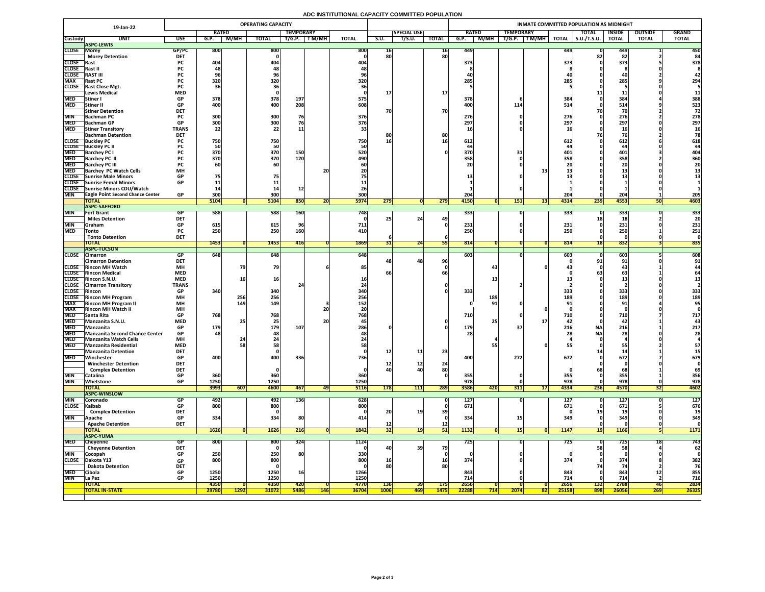## **ADC INSTITUTIONAL CAPACITY COMMITTED POPULATION**

|                            | 19-Jan-22                                                      |                            |                                 |             | <b>OPERATING CAPACITY</b> |             |            |              |                 |                    |              | INMATE COMMITTED POPULATION AS MIDNIGHT |                                |                                  |                     |               |                |              |  |  |  |
|----------------------------|----------------------------------------------------------------|----------------------------|---------------------------------|-------------|---------------------------|-------------|------------|--------------|-----------------|--------------------|--------------|-----------------------------------------|--------------------------------|----------------------------------|---------------------|---------------|----------------|--------------|--|--|--|
|                            |                                                                |                            | <b>RATED</b>                    |             | <b>TEMPORARY</b>          |             |            |              |                 | <b>SPECIAL USE</b> |              | <b>RATED</b>                            | <b>TEMPORARY</b>               |                                  | <b>TOTAL</b>        | <b>INSIDE</b> | <b>OUTSIDE</b> | <b>GRAND</b> |  |  |  |
| <b>Custody</b>             | <b>UNIT</b>                                                    | <b>USE</b>                 | G.P.                            | M/MH        | <b>TOTAL</b>              | T/G.P.      | T M/MH     | <b>TOTAL</b> | S.U.            | T/S.U.             | <b>TOTAL</b> | M/MH<br>G.P.                            | $\top$ T M/MH $\top$<br>T/G.P. | <b>TOTAL</b>                     | $\vert$ S.U./T.S.U. | <b>TOTAL</b>  | <b>TOTAL</b>   | <b>TOTAL</b> |  |  |  |
| <b>CLOSE Morey</b>         | <b>ASPC-LEWIS</b>                                              | GP/PC                      | 800                             |             | 800                       |             |            | 800          | 10 <sub>1</sub> |                    | 16           | 449                                     |                                | <b>4491</b>                      |                     | 449           |                | 450          |  |  |  |
|                            | <b>Morey Detention</b>                                         | <b>DET</b>                 |                                 |             |                           |             |            |              | 80              |                    | 80           |                                         |                                |                                  |                     | 82            |                | 84           |  |  |  |
| <b>CLOSE</b> Rast          |                                                                | <b>PC</b>                  | 404                             |             | 404                       |             |            | 404          |                 |                    |              | 373                                     |                                | 373                              |                     | 373           |                | 378          |  |  |  |
| CLOSE Rast II              |                                                                | rl.                        |                                 |             |                           |             |            |              |                 |                    |              |                                         |                                |                                  |                     |               |                |              |  |  |  |
| <b>CLOSE</b>               | <b>RAST III</b>                                                | ۲Ć.                        |                                 |             | 70                        |             |            |              |                 |                    |              | <b>40</b>                               |                                |                                  |                     |               |                |              |  |  |  |
| <b>MAX</b>                 | <b>Rast PC</b>                                                 | <b>PC</b>                  | 320                             |             | 320                       |             |            | 320          |                 |                    |              | 285                                     |                                | 285                              |                     | 285           |                | 294          |  |  |  |
|                            | CLOSE Rast Close Mgt.<br><b>Lewis Medical</b>                  | <b>PC</b><br><b>MED</b>    |                                 |             |                           |             |            |              |                 |                    | <b>17</b>    |                                         |                                |                                  |                     |               |                | 11           |  |  |  |
| <b>MED</b>                 | <b>Stiner</b> I                                                | <b>GP</b>                  | 378                             |             | 378                       | 197         |            | 575          |                 |                    |              | 378                                     |                                | 384                              |                     | 384           |                | 388          |  |  |  |
| <b>MED</b>                 | Stiner II                                                      | <b>GP</b>                  | 400                             |             | 400                       | 208         |            | 608          |                 |                    |              | 400                                     | 114                            | 514                              |                     | 514           |                | 523          |  |  |  |
|                            | <b>Stiner Detention</b>                                        | <b>DET</b>                 |                                 |             |                           |             |            |              | 70              |                    | 70           |                                         |                                |                                  |                     |               |                | 72           |  |  |  |
| <b>MIN</b>                 | <b>Bachman PC</b>                                              |                            | 300                             |             | 300                       | 76          |            | 376          |                 |                    |              | 276                                     |                                | 276                              |                     | 276           |                | 278          |  |  |  |
|                            | MED Bachman GP                                                 | <b>GP</b>                  | 300 <sub>l</sub><br><b>PODE</b> |             | 300                       |             |            | 376          |                 |                    |              | 207<br>LJ I                             |                                | <b>2071</b><br><i><b>LJI</b></i> |                     | 207<br>LJ I   |                | 297          |  |  |  |
| <b>MED</b>                 | <b>Stiner Transitory</b>                                       | <b>TRANS</b><br><b>DET</b> | 22                              |             | 22                        | ᆂᆂ          |            |              |                 |                    |              |                                         |                                |                                  |                     |               |                |              |  |  |  |
|                            | <b>Bachman Detention</b><br><b>CLOSE</b> Buckley PC            |                            | 750 <sub>1</sub>                |             | 750                       |             |            | 750          | 8ľ<br><b>16</b> |                    | 80           | 612                                     |                                | 612                              |                     | 612           |                | 618          |  |  |  |
|                            | <b>CLOSE</b> Buckley PC II                                     |                            |                                 |             | 50                        |             |            |              |                 |                    |              |                                         |                                |                                  |                     |               |                |              |  |  |  |
| <b>MED</b>                 | <b>Barchey PC I</b>                                            |                            | 370                             |             | 370                       | 150         |            | 520          |                 |                    |              | 370                                     |                                | 401                              |                     | 401           |                | 404          |  |  |  |
| <b>MED</b>                 | <b>Barchey PC II</b>                                           |                            | 370                             |             | 370                       | 120         |            | 490          |                 |                    |              | 358                                     |                                | 358                              |                     | 358           |                | 360          |  |  |  |
| <b>MED</b>                 | <b>Barchey PC III</b>                                          |                            |                                 |             | 60                        |             |            |              |                 |                    |              |                                         |                                |                                  |                     |               |                | 20           |  |  |  |
| <b>MED</b>                 | <b>Barchey PC Watch Cells</b>                                  | <b>MH</b>                  |                                 |             |                           |             | 20         |              |                 |                    |              |                                         |                                |                                  |                     |               |                |              |  |  |  |
|                            | <b>CLOSE</b> Sunrise Male Minors<br>CLOSE Sunrise Femal Minors | <b>GP</b><br><b>GP</b>     |                                 |             |                           |             |            |              |                 |                    |              |                                         |                                |                                  |                     |               |                |              |  |  |  |
|                            | CLOSE Sunrise Minors CDU/Watch                                 |                            |                                 |             |                           |             |            |              |                 |                    |              |                                         |                                |                                  |                     |               |                |              |  |  |  |
| <b>MIN</b>                 | <b>TEagle Point Second Chance Center</b>                       | <b>GP</b>                  | 300                             |             | 300                       |             |            | 300          |                 |                    |              | 204                                     |                                | 204                              |                     | 204           |                | 205          |  |  |  |
|                            | <b>TOTAL</b>                                                   |                            | 5104                            |             | 5104                      | 850         | ZU         | <b>5974</b>  | 279             |                    | 279          | 4150                                    | <b>151</b>                     | 4314<br>131                      | 239                 | 4553          |                | 4603         |  |  |  |
|                            | <b>ASPC-SAFFORD</b>                                            |                            |                                 |             |                           |             |            |              |                 |                    |              |                                         |                                |                                  |                     |               |                |              |  |  |  |
| <b>MIN</b>                 | <b>Fort Grant</b>                                              | GP                         | 588                             |             | 588                       | <b>160</b>  |            | 748I         |                 |                    |              | 333                                     |                                | <b>3331</b>                      |                     | 333           |                | 333          |  |  |  |
|                            | <b>Miles Detention</b>                                         | <b>DET</b>                 |                                 |             |                           |             |            |              |                 | 24                 |              |                                         |                                |                                  |                     |               |                | 20           |  |  |  |
| <b>MIN</b><br><b>MED</b>   | <b>Sraham</b><br><b>Tonto</b>                                  | <b>GP</b><br><b>PC</b>     | 615<br>250                      |             | 615<br>250                | 160         |            | 711<br>410   |                 |                    |              | 231<br>250                              |                                | 231<br>250                       |                     | 231<br>250    |                | 231<br>251   |  |  |  |
|                            | <b>Tonto Detention</b>                                         | <b>DET</b>                 |                                 |             |                           |             |            |              |                 |                    |              |                                         |                                |                                  |                     |               |                |              |  |  |  |
|                            | <b>TOTAL</b>                                                   |                            | 1453                            |             | 1453                      | 416         |            | 1869         |                 | 24                 |              | 814                                     |                                | 814                              |                     | 832           |                | 835          |  |  |  |
|                            | <b>ASPC-TUCSON</b>                                             |                            |                                 |             |                           |             |            |              |                 |                    |              |                                         |                                |                                  |                     |               |                |              |  |  |  |
|                            | CLOSE Cimarron                                                 | GP                         | 648                             |             | 648                       |             |            | 648          |                 |                    |              | 603                                     |                                | 603                              |                     | 603           |                | 608          |  |  |  |
|                            | <b>Cimarron Detention</b>                                      | <b>DET</b>                 |                                 |             |                           |             |            |              |                 | 48 <sub>1</sub>    | 96           |                                         |                                |                                  | 91                  | 91            |                | 91           |  |  |  |
|                            | <b>CLOSE</b> Rincon MH Watch<br><b>CLOSE</b> Rincon Medical    | <b>MH</b><br><b>MED</b>    |                                 |             | 79                        |             |            | 85           |                 |                    |              |                                         | 43                             |                                  |                     |               |                |              |  |  |  |
|                            | CLOSE Rincon S.N.U.                                            | <b>MED</b>                 |                                 |             | <b>16</b>                 |             |            |              |                 |                    |              |                                         |                                |                                  |                     |               |                |              |  |  |  |
|                            | <b>CLOSE</b> Cimarron Transitory                               | <b>TRANS</b>               |                                 |             |                           |             |            |              |                 |                    |              |                                         |                                |                                  |                     |               |                |              |  |  |  |
| <b>CLOSE</b> Rincon        |                                                                | <b>GP</b>                  | 340                             |             | 340                       |             |            | <b>340</b>   |                 |                    |              | 333                                     |                                | 333                              |                     | 333           |                | 333          |  |  |  |
|                            | <b>CLOSE</b> Rincon MH Program                                 | <b>MH</b>                  |                                 | 256         | 256                       |             |            | 256          |                 |                    |              | <b>189</b>                              |                                | 189                              |                     | 189           |                | 189          |  |  |  |
| <b>MAX</b>                 | <b>Rincon MH Program II</b>                                    | <b>MH</b>                  |                                 | 149         | 149                       |             |            | 152          |                 |                    |              |                                         | 91                             |                                  |                     |               |                | 95           |  |  |  |
| <b>MAX</b>                 | <b>Rincon MH Watch II</b>                                      | <b>MH</b>                  |                                 |             |                           |             | 20         |              |                 |                    |              |                                         |                                |                                  |                     |               |                |              |  |  |  |
| <b>MED</b><br><b>MED</b>   | <b>Santa Rita</b><br>Manzanita S.N.U.                          | <b>GP</b><br><b>MED</b>    | 768                             |             | 768<br>25                 |             | <b>20</b>  | 768          |                 |                    |              | 710                                     |                                | 710                              |                     | 710<br>-42.   |                | 717          |  |  |  |
| <b>MED</b>                 | Manzanita                                                      | <b>GP</b>                  | 179                             |             | 179                       | 107         |            | 286          |                 |                    |              | <b>179</b>                              |                                | 216                              | <b>NA</b>           | 216           |                | 217          |  |  |  |
|                            | MED Manzanita Second Chance Center                             | <b>GP</b>                  | 481                             |             | 48                        |             |            |              |                 |                    |              | <b>28</b>                               |                                |                                  | <b>NA</b>           | 28            |                | <b>28</b>    |  |  |  |
| <b>MED</b>                 | <b>Manzanita Watch Cells</b>                                   | <b>MH</b>                  |                                 |             |                           |             |            |              |                 |                    |              |                                         |                                |                                  |                     |               |                |              |  |  |  |
| <b>MED</b>                 | Manzanita Residential                                          | <b>MED</b>                 |                                 |             | 58                        |             |            |              |                 |                    |              |                                         |                                |                                  |                     |               |                | 57           |  |  |  |
|                            | <b>Manzanita Detention</b>                                     | <b>DET</b>                 |                                 |             |                           |             |            |              | 12              | 11                 | 23           |                                         |                                |                                  |                     |               |                |              |  |  |  |
| <b>MED</b>                 | Winchester                                                     | <b>GP</b><br><b>DET</b>    | 400                             |             | 400                       | 336         |            | 736          |                 |                    |              | 400                                     | 272                            | 672                              |                     | 672           |                | 679          |  |  |  |
|                            | <b>Winchester Detention</b><br><b>Complex Detention</b>        | <b>DET</b>                 |                                 |             |                           |             |            |              | 40              | <b>12</b><br>40    | 24<br>80     |                                         |                                |                                  |                     |               |                | 69           |  |  |  |
| <b>MIN</b>                 | Catalina                                                       | <b>GP</b>                  | 360                             |             | 360                       |             |            | 360          |                 |                    |              | 355                                     |                                | 355                              |                     | 355           |                | 356          |  |  |  |
| <b>MIN</b>                 | Whetstone                                                      | <b>GP</b>                  | 1250                            |             | 1250                      |             |            | 1250         |                 |                    |              | 978                                     |                                | 978                              |                     | 978           |                | 978          |  |  |  |
|                            | <b>TOTAL</b>                                                   |                            | 3993                            | 607         | 4600                      | 467         | 47         | <b>5116</b>  | 178             | 111                | 289          | 3586<br><b>420</b>                      | 311                            | 4334<br>17 <sup>1</sup>          | 236                 | 4570          | JZI            | 4602         |  |  |  |
|                            | <b>ASPC-WINSLOW</b>                                            |                            |                                 |             |                           |             |            |              |                 |                    |              |                                         |                                |                                  |                     |               |                |              |  |  |  |
| <b>MIN</b>                 | <b>Coronado</b>                                                | GP                         | 492                             |             | 492                       | <b>136</b>  |            | 628          |                 |                    |              | <b>127</b>                              |                                | 127                              |                     | 127           |                | <b>127</b>   |  |  |  |
| CLOSE Kaibab               | <b>Complex Detention</b>                                       | GP<br><b>DET</b>           | 800                             |             | 800                       |             |            | 800          | 20              |                    | 39           | 671                                     |                                | 671                              |                     | 671           |                | 676          |  |  |  |
| <b>MIN</b>                 | <b>Apache</b>                                                  | <b>GP</b>                  | 334                             |             | 334                       | 80          |            | 414          |                 |                    |              | 334                                     | 15                             | 349                              |                     | 349           |                | 349          |  |  |  |
|                            | <b>Apache Detention</b>                                        | <b>DET</b>                 |                                 |             |                           |             |            |              |                 |                    | <b>12</b>    |                                         |                                |                                  |                     |               |                |              |  |  |  |
|                            | <b>TOTAL</b>                                                   |                            | 1626                            |             | <b>1626</b>               | 216         |            | 1842         | 32              |                    | <b>511</b>   | 1132                                    | 15                             | <b>1147</b>                      |                     | 1166          |                | 1171         |  |  |  |
|                            | <b>ASPC-YUMA</b>                                               |                            |                                 |             |                           |             |            |              |                 |                    |              |                                         |                                |                                  |                     |               |                |              |  |  |  |
| <b>MED</b>                 | Cheyenne                                                       | <b>GP</b>                  | 800                             |             | 800                       | 324         |            | 1124         |                 |                    |              | 725                                     |                                | <b>7251</b>                      |                     | 725           | TO             | 743          |  |  |  |
|                            | <b>Cheyenne Detention</b>                                      | <b>DET</b>                 |                                 |             |                           |             |            |              | 40              | 39                 | 79           |                                         |                                |                                  | 58                  | 58            |                | 62           |  |  |  |
| <b>MIN</b><br><b>CLOSE</b> | Cocopah<br>Dakota Y13                                          | <b>GP</b>                  | 250<br>800                      |             | 250<br>800                | <b>80</b>   |            | 330<br>800   | <b>16</b>       |                    | <b>16</b>    | 374                                     |                                | 374                              |                     | 374           |                | 382          |  |  |  |
|                            | <b>Dakota Detention</b>                                        | <b>GP</b><br><b>DET</b>    |                                 |             |                           |             |            |              | 80              |                    | 80           |                                         |                                |                                  |                     |               |                | 76           |  |  |  |
| <b>MED</b>                 | Cibola                                                         | <b>GP</b>                  | 1250                            |             | 1250                      | <b>16</b>   |            | 1266         |                 |                    |              | 843                                     |                                | 843                              |                     | 843           | <b>12</b>      | 855          |  |  |  |
| <b>MIN</b>                 | La Paz                                                         | <b>GP</b>                  | 1250                            |             | 1250                      |             |            | 1250         |                 |                    |              | 714                                     |                                | 714                              |                     | 714           |                | 716          |  |  |  |
|                            | <b>TOTAL</b>                                                   |                            | 4350                            |             | 4350                      | <b>420</b>  |            | 4770         | <b>136</b>      | <b>39</b>          | <b>175</b>   | 2656                                    |                                | 2656                             | <b>132</b>          | 2788          | 46             | 2834         |  |  |  |
|                            | <b>TOTAL IN-STATE</b>                                          |                            | 29780                           | <b>1292</b> | <b>31072</b>              | <b>5486</b> | <b>146</b> | <b>36704</b> | <b>1006</b>     | <mark>469 </mark>  | <b>1475</b>  | 22288<br>714                            | 2074                           | <b>25158</b><br><b>82</b>        | 898                 | 26056         | <b>269</b>     | 26325        |  |  |  |